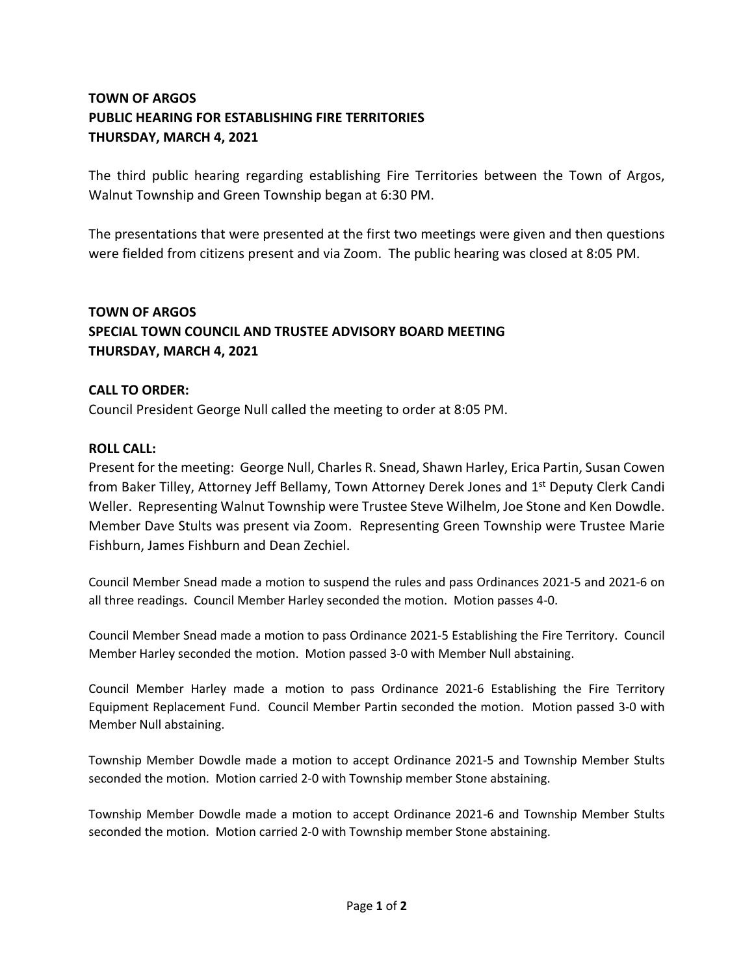# **TOWN OF ARGOS PUBLIC HEARING FOR ESTABLISHING FIRE TERRITORIES THURSDAY, MARCH 4, 2021**

The third public hearing regarding establishing Fire Territories between the Town of Argos, Walnut Township and Green Township began at 6:30 PM.

The presentations that were presented at the first two meetings were given and then questions were fielded from citizens present and via Zoom. The public hearing was closed at 8:05 PM.

## **TOWN OF ARGOS SPECIAL TOWN COUNCIL AND TRUSTEE ADVISORY BOARD MEETING THURSDAY, MARCH 4, 2021**

## **CALL TO ORDER:**

Council President George Null called the meeting to order at 8:05 PM.

### **ROLL CALL:**

Present for the meeting: George Null, Charles R. Snead, Shawn Harley, Erica Partin, Susan Cowen from Baker Tilley, Attorney Jeff Bellamy, Town Attorney Derek Jones and 1<sup>st</sup> Deputy Clerk Candi Weller. Representing Walnut Township were Trustee Steve Wilhelm, Joe Stone and Ken Dowdle. Member Dave Stults was present via Zoom. Representing Green Township were Trustee Marie Fishburn, James Fishburn and Dean Zechiel.

Council Member Snead made a motion to suspend the rules and pass Ordinances 2021-5 and 2021-6 on all three readings. Council Member Harley seconded the motion. Motion passes 4-0.

Council Member Snead made a motion to pass Ordinance 2021-5 Establishing the Fire Territory. Council Member Harley seconded the motion. Motion passed 3-0 with Member Null abstaining.

Council Member Harley made a motion to pass Ordinance 2021-6 Establishing the Fire Territory Equipment Replacement Fund. Council Member Partin seconded the motion. Motion passed 3-0 with Member Null abstaining.

Township Member Dowdle made a motion to accept Ordinance 2021-5 and Township Member Stults seconded the motion. Motion carried 2-0 with Township member Stone abstaining.

Township Member Dowdle made a motion to accept Ordinance 2021-6 and Township Member Stults seconded the motion. Motion carried 2-0 with Township member Stone abstaining.